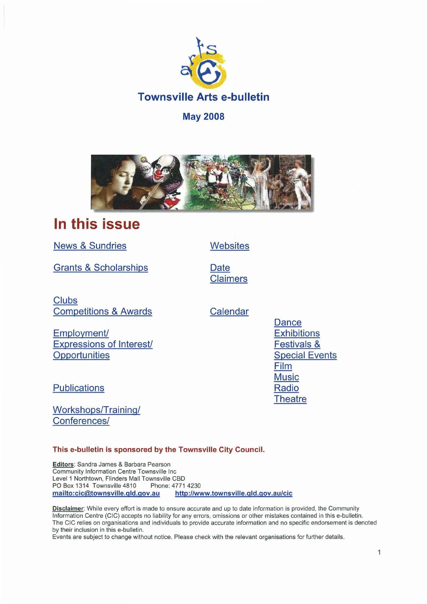

# May 2008



# **In this issue**

News & Sundries

Grants & Scholarships

**Clubs** Competitions & Awards

Employment/ Expressions of Interest/ **Opportunities** 

**Publications** 

Workshops/Training/ Conferences/

# This e-bulletin is sponsored by the Townsville City Council.

Editors: Sandra James & Barbara Pearson Community Information Centre Townsville Inc Level 1 Northtown, Flinders Mall Townsville CBD<br>PO Box 1314 Townsville 4810 Phone: 4771 4230 PO Box 1314 Townsville 4810 Phone: mailto: cic@townsville.gld.gov.au http://www.townsville.gld.gov.au/cic

Disclaimer: While every effort is made to ensure accurate and up to date information is provided, the Community Information Centre (CIC) accepts no liability for any errors, omissions or other mistakes contained in this e-bulletin. The CIC relies on organisations and individuals to provide accurate information and no specific endorsement is denoted by their inclusion in this e-bulletin.

Events are subject to change without notice. Please check with the relevant organisations for further details.

**Dance Exhibitions** Festivals & Special Events Film **Music** Radio **Theatre** 

 $\overline{1}$ 

**Websites** 

**Date Claimers** 

**Calendar**